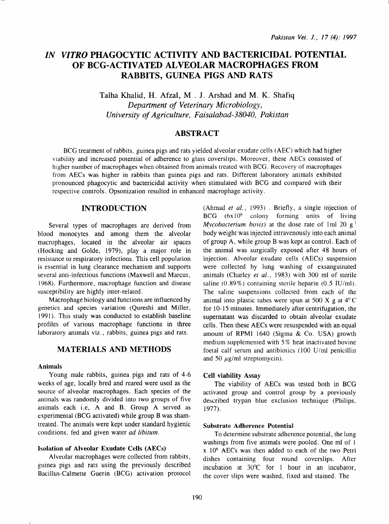# *IN VITRO* PHAGOCYTIC ACTIVITY AND BACTERICIDAL POTENTIAL OF BCG-ACTIVATED ALVEOLAR MACROPHAGES FROM RABBITS, GUINEA PIGS AND RATS

Talha Khalid, H. Afzal, M . J. Arshad and M. K. Shafiq *Department of Veterinary Microbiology, University of Agriculture, Faisalabad-38040, Pakistan* 

## ABSTRACT

BCG treatment of rabbits, guinea pigs and rats yielded alveolar exudate cells (AEC) which had higher viability and increased potential of adherence to glass coverslips. Moreover, these AECs consisted of higher number of macrophages when obtained from animals treated with BCG. Recovery of macrophages from AECs was higher in rabbits than guinea pigs and rats. Different laboratory animals exhibited pronounced phagocytic and bactericidal activity when stimulated with BCG and compared with their respective controls. Opsonization resulted in enhanced macrophage activity.

#### INTRODUCTION

Several types of macrophages are derived from blood monocytes and among them the alveolar macrophages, located in the alveolar air spaces (Hocking and Golde, 1979), play a major role in resistance to respiratory infections. This cell population is essential in lung clearance mechanism and supports several anti-infectious functions (Maxwell and Marcus, 1968). Furthermore, macrophage function and disease susceptibility are highly inter-related.

Macrophage biology and functions are influenced by genetics and species variation (Qureshi and Miller, 1991). This study was conducted to establish baseline profiles of various macrophage functions in three laboratory animals viz., rabbits, guinea pigs and rats.

# MATERIALS AND METHODS

#### Animals

Young male rabbits, guinea pigs and rats of 4-6 weeks of age, locally bred and reared were used as the source of alveolar macrophages. Each species of the animals was randomly divided into two groups of five animals each i.e, A and B. Group A served as experimental (BCG activated) while group B was shamtreated. The animals were kept under standard hygienic conditions, fed and given water *ad libitum.* 

### Isolation of Alveolar Exudate Cells (AECs)

Alveolar macrophages were collected from rabbits, guinea pigs and rats using the previously described Bacillus-Calmette Guerin (BCG) activation protocol (Ahmad *et al.,* 1993) . Briefly, a single injection of  $BCG$   $(6x10<sup>6</sup>$  colony forming units of living *Mycobacterium bovis*) at the dose rate of 1 ml 20  $g<sup>-1</sup>$ body weight was injected intravenously into each animal of group A, while group B was kept as control. Each of the animal was surgically exposed after 48 hours of injection. Alveolar exudate cells (AECs) suspension were collected by lung washing of exsanguinated animals (Charley *et al.,* 1983) with 300 ml of sterile saline (0.89%) containing sterile heparin (0.5 IU/ml). The saline suspensions collected from each of the animal into plastic tubes were spun at 500 X g at  $4^{\circ}$ C for 10-15 minutes. Immediately after centrifugation, the supernatant was discarded to obtain alveolar exudate cells. Then these AECs were resuspended with an equal amount of RPMI 1640 (Sigma & Co. USA) growth medium supplemented with 5% heat inactivated bovine foetal calf serum and antibiotics (100 U/ml penicillin and 50  $\mu$ g/ml streptomycin).

#### Cell viability Assay

The viability of AECs was tested both in BCG activated group and control group by a previously described trypan blue exclusion technique (Philips, 1977).

#### Substrate Adherence Potential

To determine substrate adherence potential, the lung washings from five animals were pooled. One ml of 1 x 106 AECs was then added to each of the two Petri dishes containing four round coverslips. After incubation at 30°C for 1 hour in an incubator, the cover slips were washed, fixed and stained. The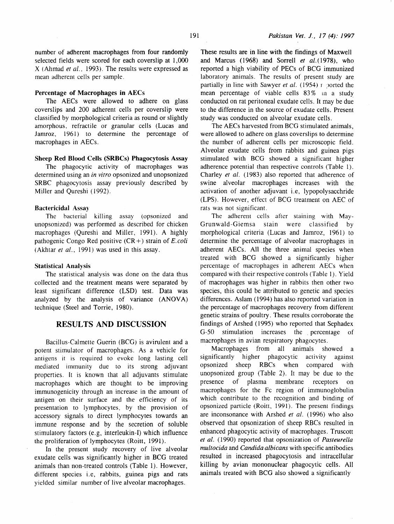number of adherent macrophages from four randomly selected fields were scored for each coverslip at  $1,000$ X (Ahmad *et al..* 1993). The results were expressed as mean adherent cells per sample.

#### Percentage of Macrophages in AECs

The AECs were allowed to adhere on glass coverslips and 200 adherent cells per coverslip were classified by morphological criteria as round or slightly amorphous, refractile or granular cells (Lucas and Jamroz, 1961) to determine the percentage of macrophages in AECs.

# Sheep Red Blood Cells (SRBCs) Phagocytosis Assay

The phagocytic activity of macrophages was determined using an *in vitro* opsonized and unopsonized SRBC phagocytosis assay previously described by Miller and Qureshi (1992).

#### Bactericidal Assay

The bacterial killing assay (opsonized and unopsonized) was performed as described for chicken macrophages (Qureshi and Miller, 1991). A highly pathogenic Congo Red positive (CR +) strain of E. *coli*  (Akhtar *et al.,* 1991) was used in this assay.

#### Statistical Analysis

The statistical analysis was done on the data thus collected and the treatment means were separated by least significant difference (LSD) test. Data was analyzed by the analysis of variance (ANOVA) technique (Steel and Torrie, 1980).

# RESULTS AND DISCUSSION

Bacillus-Calmette Guerin (BCG) is avirulent and a potent stimulator of macrophages. As a vehicle for antigens it is required to evoke long lasting cell mediated immunity due to its strong adjuvant properties. It is known that all adjuvants stimulate macrophages which are thought to be improving immunogenicity through an increase in the amount of antigen on their surface and the efficiency of its presentation to lymphocytes, by the provision of accessory signals to direct lymphocytes towards an immune response and by the secretion of soluble stimulatory factors (e.g, interleukin-I) which influence the proliferation of lymphocytes (Roitt, 1991).

In the present study recovery of live alveolar exudate cells was significantly higher in BCG treated animals than non-treated controls (Table 1). However, different species i.e, rabbits, guinea pigs and rats yielded similar number of live alveolar macrophages.

These results are in line with the findings of Maxwell and Marcus (1968) and Sorrell *et al.*(1978), who reported a high viability of PECs of BCG immunized laboratory animals. The results of present study are partially in line with Sawyer *et al.* (1954) r ported the mean percentage of viable cells  $83\%$  in a study conducted on rat peritoneal exudate cells. It may be due to the difference in the source of exudate cells. Present study was conducted on alveolar exudate cells.

The AECs harvested from BCG stimulated animals, were allowed to adhere on glass coverslips to determine the number of adherent cells per microscopic field. Alveolar exudate cells from rabbits and guinea pigs stimulated with BCG showed a significant higher adherence potential than respective controls (Table 1). Charley *et al.* (1983) also reported that adherence of swine alveolar macrophages increases with the activation of another adjuvant i.e, lypopolysacchride (LPS). However, effect of BCG treatment on AEC of rats was not significant.

The adherent cells after staining with May-Grunwald-Giemsa stain were classified by morphological criteria (Lucas and Jamroz, 1961) to determine the percentage of alveolar macrophages in adherent AECs. All the three animal species when treated with BCG showed a significantly higher percentage of macrophages in adherent AECs when compared with their respective controls (Table 1). Yield of macrophages was higher in rabbits then other two species, this could be attributed to genetic and species differences. Aslam (1994) has also reported variation in the percentage of macrophages recovery from different genetic strains of poultry. These results corroborate the findings of Arshed (1995) who reported that Sephadex G-50 stimulation increases the percentage of macrophages in avian respiratory phagocytes.

Macrophages from all animals showed a significantly higher phagocytic activity against opsonized sheep RBCs when compared with unopsonized group (Table 2). It may be due to the presence of plasma membrane receptors on macrophages for the Fe region of immunoglobulin which contribute to the recognition and binding of opsonized particle (Roitt, 1991). The present findings are inconsonance with Arshed *et al.* (1996) who also observed that opsonization of sheep RBCs resulted in enhanced phagocytic activity of macrophages. Truscott *et al.* ( 1990) reported that opsonization of *Pasteurella multocida* and *Candida albicans* with specific antibodies resulted in increased phagocytosis and intracellular killing by avian mononuclear phagocytic cells. All animals treated with BCG also showed a significantly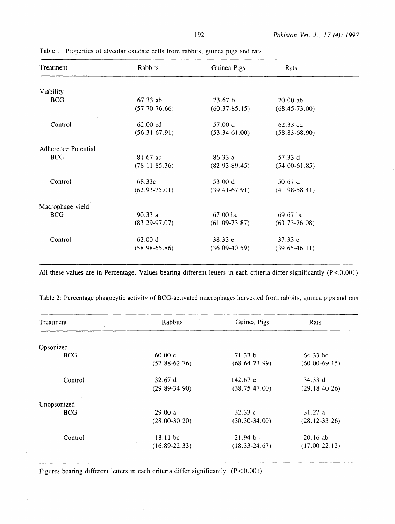| Treatment           | Rabbits            | Guinea Pigs       | Rats              |  |
|---------------------|--------------------|-------------------|-------------------|--|
|                     |                    |                   |                   |  |
| Viability           |                    |                   |                   |  |
| <b>BCG</b>          | $67.33$ ab         | 73.67 b           | 70.00 ab          |  |
|                     | $(57.70-76.66)$    | $(60.37 - 85.15)$ | $(68.45 - 73.00)$ |  |
| Control             | $62.00 \text{ cd}$ | 57.00 d           | 62.33 cd          |  |
|                     | $(56.31 - 67.91)$  | $(53.34 - 61.00)$ | $(58.83 - 68.90)$ |  |
| Adherence Potential |                    |                   |                   |  |
| <b>BCG</b>          | 81.67 ab           | 86.33 a           | 57.33 $d$         |  |
|                     | $(78.11 - 85.36)$  | $(82.93-89.45)$   | $(54.00-61.85)$   |  |
| Control             | 68.33c             | 53.00 d           | 50.67 d           |  |
|                     | $(62.93 - 75.01)$  | $(39.41 - 67.91)$ | $(41.98-58.41)$   |  |
| Macrophage yield    |                    |                   |                   |  |
| <b>BCG</b>          | 90.33a             | $67.00$ bc        | $69.67$ bc        |  |
|                     | $(83.29-97.07)$    | $(61.09-73.87)$   | $(63.73 - 76.08)$ |  |
| Control             | 62.00 d            | 38.33 e           | 37.33 e           |  |
|                     | $(58.98-65.86)$    | $(36.09-40.59)$   | $(39.65 - 46.11)$ |  |

Table l: Properties of alveolar exudate cells from rabbits, guinea pigs and rats

All these values are in Percentage. Values bearing different letters in each criteria differ significantly (P<0.001)

| Rabbits           | Guinea Pigs       | Rats              |
|-------------------|-------------------|-------------------|
|                   |                   |                   |
| 60.00c            | 71.33 b           | 64.33 bc          |
| $(57.88 - 62.76)$ | $(68.64-73.99)$   | $(60.00-69.15)$   |
| 32.67 d           | 142.67 e          | 34.33 $d$         |
| $(29.89 - 34.90)$ | $(38.75 - 47.00)$ | $(29.18-40.26)$   |
|                   |                   |                   |
| 29.00a            | 32.33c            | 31.27 a           |
| $(28.00-30.20)$   | $(30.30-34.00)$   | $(28.12 - 33.26)$ |
| $18.11$ bc        | 21.94 b           | $20.16$ ab        |
| $(16.89 - 22.33)$ | $(18.33 - 24.67)$ | $(17.00-22.12)$   |
|                   |                   |                   |

Table 2: Percentage phagocytic activity of BCG-activated macrophages harvested from rabbits, guinea pigs and rats

Figures bearing different letters in each criteria differ significantly (P<0.001)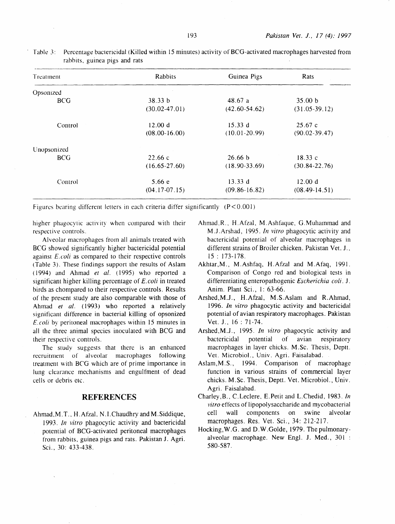| Treatment   | Rabbits           | Guinea Pigs        | Rats              |
|-------------|-------------------|--------------------|-------------------|
| Opsonized   |                   |                    |                   |
| <b>BCG</b>  | 38.33 b           | 48.67a             | 35.00 b           |
|             | $(30.02 - 47.01)$ | $(42.60 - 54.62)$  | $(31.05-39.12)$   |
| Control     | 12.00 d           | 15.33 d            | 25.67c            |
|             | $(08.00 - 16.00)$ | $(10.01 - 20.99)$  | $(90.02 - 39.47)$ |
| Unopsonized |                   |                    |                   |
| <b>BCG</b>  | 22.66c            | 26.66 <sub>b</sub> | 18.33c            |
|             | $(16.65 - 27.60)$ | $(18.90 - 33.69)$  | $(30.84 - 22.76)$ |
| Control     | 5.66 e            | 13.33 d            | 12.00 d           |
|             | $(04.17 - 07.15)$ | $(09.86 - 16.82)$  | $(08.49-14.51)$   |

Table *3:* Percentage bactericidal (Killed within 15 minutes) activity of BCG-activated macrophages harvested from rabbits, guinea pigs and rats

Figures bearing different letters in each criteria differ significantly  $(P < 0.001)$ 

higher phagocytic activity when compared with their respective controls.

Alveolar macrophages from all animals treated with BCG showed significantly higher bactericidal potential against £.coli as compared to their respective controls (Table 3). These findings support the results of Aslam ( 1994) and Ahmad *et al.* ( 1995) who reported a significant higher killing percentage of E. coli in treated birds as chompared to their respective controls. Results of the present study are also comparable with those of Ahmad *et al.* (1993) who reported a relatively significant difference in bacterial killing of opsonized *£.coli* by peritoneal macrophages within I5 minutes in all the three animal species inoculated with BCG and their respective controls.

The study suggests that there is an enhanced recruitment of alveolar macrophages following treatment with BCG which are of prime importance in lung clearance mechanisms and engulfment of dead cells or debris etc.

## **REFERENCES**

Ahmad, M.T., H. Afzal. N.I. Chaudhry and M. Siddique, 1993. *In vitro* phagocytic activity and bactericidal potential of BCG-activated peritoneal macrophages from rabbits, guinea pigs and rats. Pakistan *1.* Agri. Sci., 30: 433-438.

- Ahmad.R .. H.Afzal. M.Ashfaque, G.Muhammad and M *.1* .Arshad, 1995. *In vitro* phagocytic activity and bactericidal potential of alveolar macrophages in different strains of Broiler chicken. Pakistan Vet. J., 15: 173-178.
- Akhtar,M., M.Ashfaq, H.Afzal and M.Afaq, I991. Comparison of Congo red and biological tests in differentiating enteropathogenic *Escherichia* coli. 1. Anim. Plant Sci., 1: 63-66.
- Arshed,M.J., H.Afzal, M.S.Aslam and R.Ahmad, I 996. *In vitro* phagocytic activity and bactericidal potential of avian respiratory macrophages. Pakistan Vet. J., 16 : 71-74.
- Arshed.M .J., 1995. *In vitro* phagocytic activity and bactericidal potential of avian respiratory macrophages in layer chicks. M. Sc. Thesis, Deptt. Vet. Microbial., Univ. Agri. Faisalabad.
- Aslam,M.S., I994. Comparison of macrophage function in various strains of commercial layer chicks. M .Sc. Thesis, Deptt. Vet. Microbiol., Univ. Agri. Faisalabad.
- Charley,B .. C.Leclere. E.Petit and L.Chedid, I983. *In vitro* effects of lipopolysaccharide and mycobacterial cell wall components on swine alveolar macrophages. Res. Vet. Sci., 34: 212-217.
- Hocking,W.G. and D.W.Golde, 1979. The pulmonaryalveolar macrophage. New Engl. *1.* Med., 301 : 580-587.